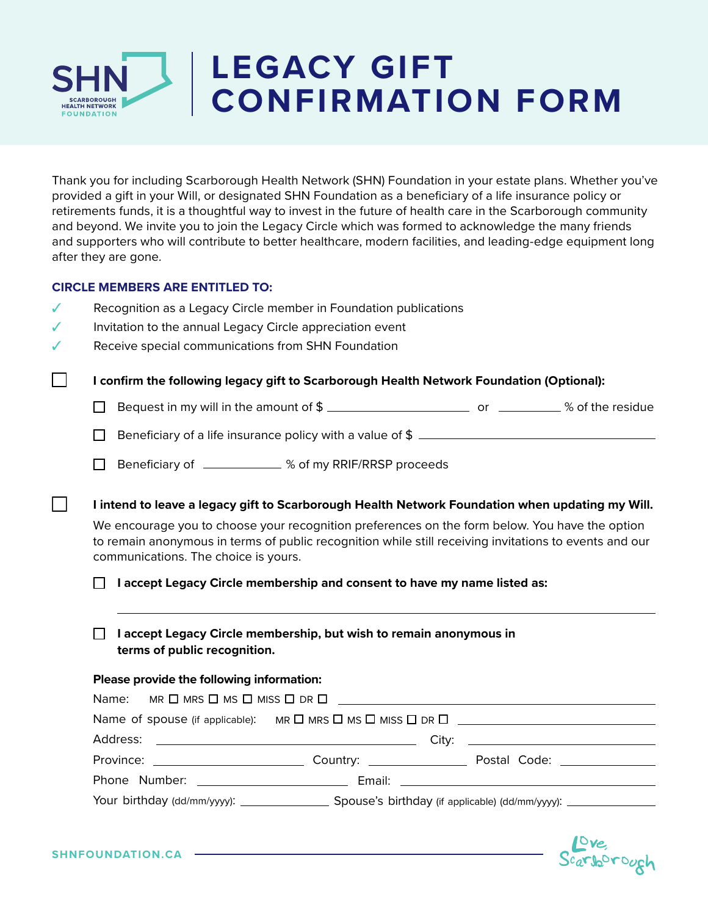

# **LEGACY GIFT CONFIRMATION FORM**

Thank you for including Scarborough Health Network (SHN) Foundation in your estate plans. Whether you've provided a gift in your Will, or designated SHN Foundation as a beneficiary of a life insurance policy or retirements funds, it is a thoughtful way to invest in the future of health care in the Scarborough community and beyond. We invite you to join the Legacy Circle which was formed to acknowledge the many friends and supporters who will contribute to better healthcare, modern facilities, and leading-edge equipment long after they are gone.

### **CIRCLE MEMBERS ARE ENTITLED TO:**

- ✓ Recognition as a Legacy Circle member in Foundation publications
- ✓ Invitation to the annual Legacy Circle appreciation event
- ✓ Receive special communications from SHN Foundation

**I confirm the following legacy gift to Scarborough Health Network Foundation (Optional):**

- $\Box$  Bequest in my will in the amount of  $\$\_$
- Beneficiary of a life insurance policy with a value of \$ П
- Beneficiary of \_\_\_\_\_\_\_\_\_\_\_ % of my RRIF/RRSP proceeds  $\Box$

**I intend to leave a legacy gift to Scarborough Health Network Foundation when updating my Will.**

We encourage you to choose your recognition preferences on the form below. You have the option to remain anonymous in terms of public recognition while still receiving invitations to events and our communications. The choice is yours.

**I accept Legacy Circle membership and consent to have my name listed as:**

## **I accept Legacy Circle membership, but wish to remain anonymous in terms of public recognition.**

#### **Please provide the following information:**

|  | Name of spouse (if applicable): MR $\square$ MRS $\square$ MISS $\square$ DR $\square$ |  |  |
|--|----------------------------------------------------------------------------------------|--|--|
|  |                                                                                        |  |  |
|  |                                                                                        |  |  |
|  |                                                                                        |  |  |
|  |                                                                                        |  |  |

Scarborough